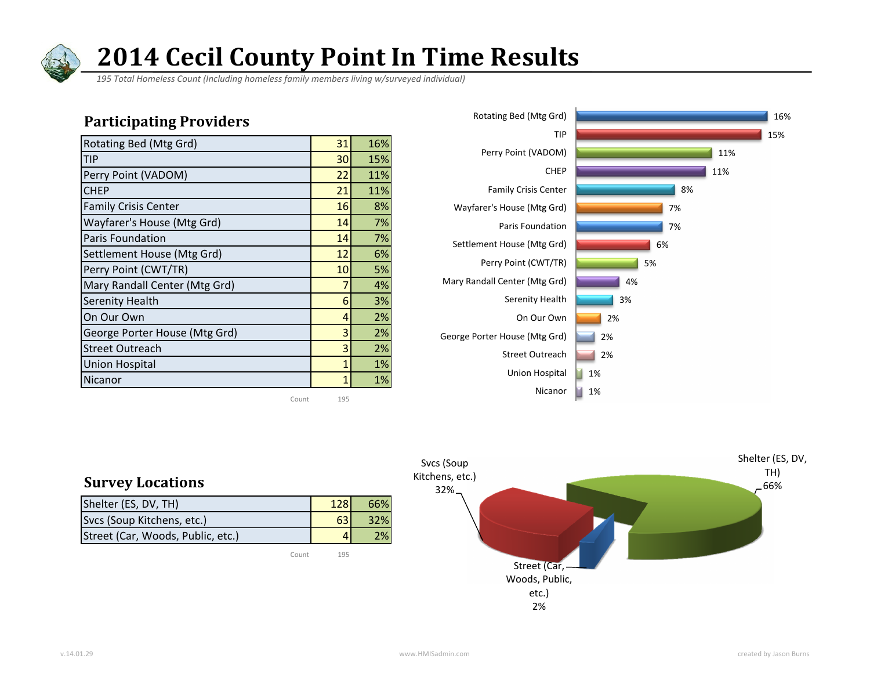

 *195 Total Homeless Count (Including homeless family members living w/surveyed individual)*

#### Participating Providers

| Rotating Bed (Mtg Grd)        | 31 | 16% |
|-------------------------------|----|-----|
| <b>TIP</b>                    | 30 | 15% |
| Perry Point (VADOM)           | 22 | 11% |
| <b>CHEP</b>                   | 21 | 11% |
| <b>Family Crisis Center</b>   | 16 | 8%  |
| Wayfarer's House (Mtg Grd)    | 14 | 7%  |
| <b>Paris Foundation</b>       | 14 | 7%  |
| Settlement House (Mtg Grd)    | 12 | 6%  |
| Perry Point (CWT/TR)          | 10 | 5%  |
| Mary Randall Center (Mtg Grd) | 7  | 4%  |
| <b>Serenity Health</b>        | 6  | 3%  |
| On Our Own                    | 4  | 2%  |
| George Porter House (Mtg Grd) | 3  | 2%  |
| <b>Street Outreach</b>        | 3  | 2%  |
| <b>Union Hospital</b>         | 1  | 1%  |
| Nicanor                       |    | 1%  |

Count 195





#### Survey Locations

| Shelter (ES, DV, TH)              | 128 | 66% |
|-----------------------------------|-----|-----|
| Svcs (Soup Kitchens, etc.)        | 63  | 32% |
| Street (Car, Woods, Public, etc.) |     | 2%  |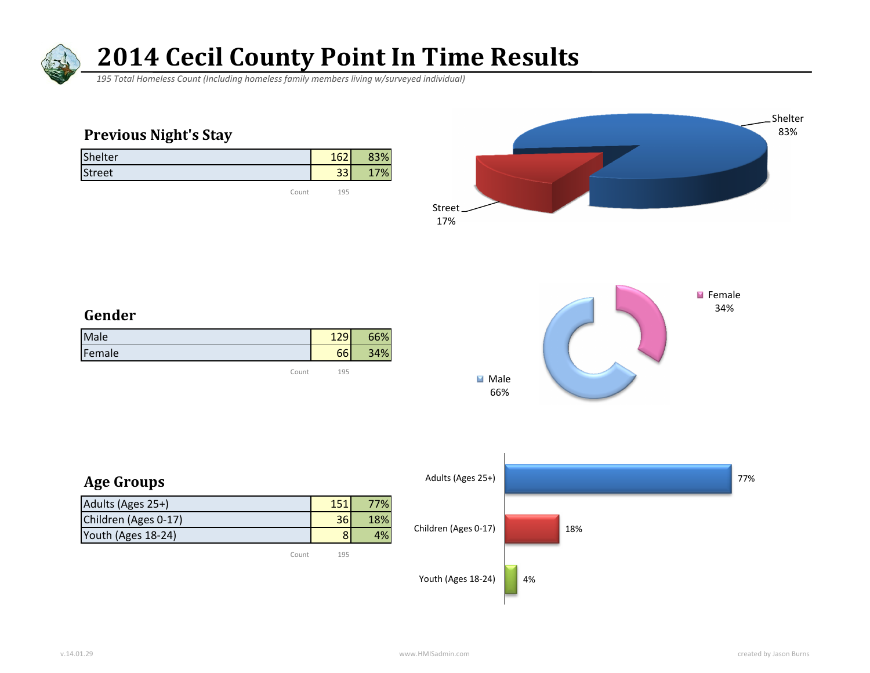

 *195 Total Homeless Count (Including homeless family members living w/surveyed individual)*

### Previous Night's Stay

| Shelter       | 162        | 83% |
|---------------|------------|-----|
| <b>Street</b> | 221<br>ادد | 7%  |
|               |            |     |

Count 195





#### Gender

| Male   | $\sim$ | $\frac{1}{2}$ |
|--------|--------|---------------|
| Female | $\sim$ | %<br>n.       |

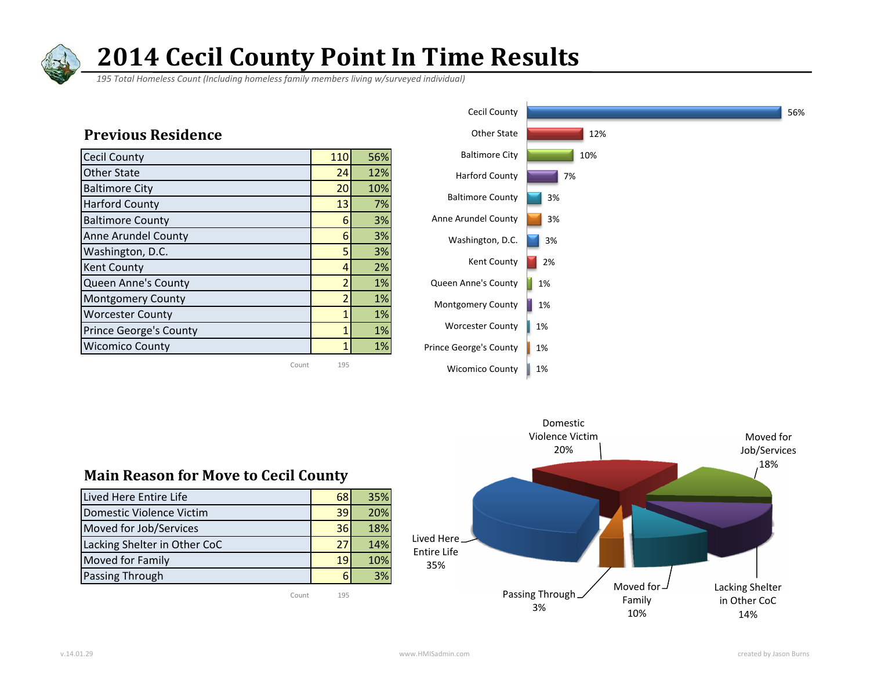

 *195 Total Homeless Count (Including homeless family members living w/surveyed individual)*



#### Main Reason for Move to Cecil County

| Lived Here Entire Life       | 68 | 35% |
|------------------------------|----|-----|
| Domestic Violence Victim     | 39 | 20% |
| Moved for Job/Services       | 36 | 18% |
| Lacking Shelter in Other CoC | 27 | 14% |
| <b>Moved for Family</b>      | 19 | 10% |
| Passing Through              | 6  | 3%  |

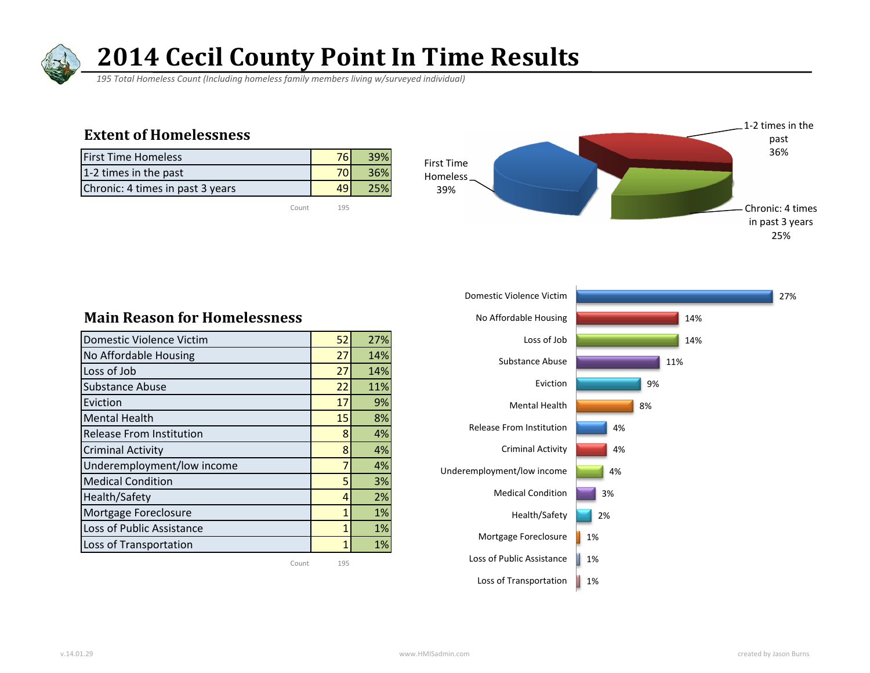

 *195 Total Homeless Count (Including homeless family members living w/surveyed individual)*

#### Extent of Homelessness

| <b>First Time Homeless</b>       |      |
|----------------------------------|------|
| 1-2 times in the past            | 36%l |
| Chronic: 4 times in past 3 years |      |

Count 195





#### Main Reason for Homelessness

| Domestic Violence Victim        | 52           | 27% |
|---------------------------------|--------------|-----|
| No Affordable Housing           | 27           | 14% |
| Loss of Job                     | 27           | 14% |
| <b>Substance Abuse</b>          | 22           | 11% |
| Eviction                        | 17           | 9%  |
| <b>Mental Health</b>            | 15           | 8%  |
| <b>Release From Institution</b> | 8            | 4%  |
| <b>Criminal Activity</b>        | 8            | 4%  |
| Underemployment/low income      | 7            | 4%  |
| <b>Medical Condition</b>        | 5            | 3%  |
| Health/Safety                   | 4            | 2%  |
| Mortgage Foreclosure            | $\mathbf{1}$ | 1%  |
| Loss of Public Assistance       | $\mathbf{1}$ | 1%  |
| Loss of Transportation          | 1            | 1%  |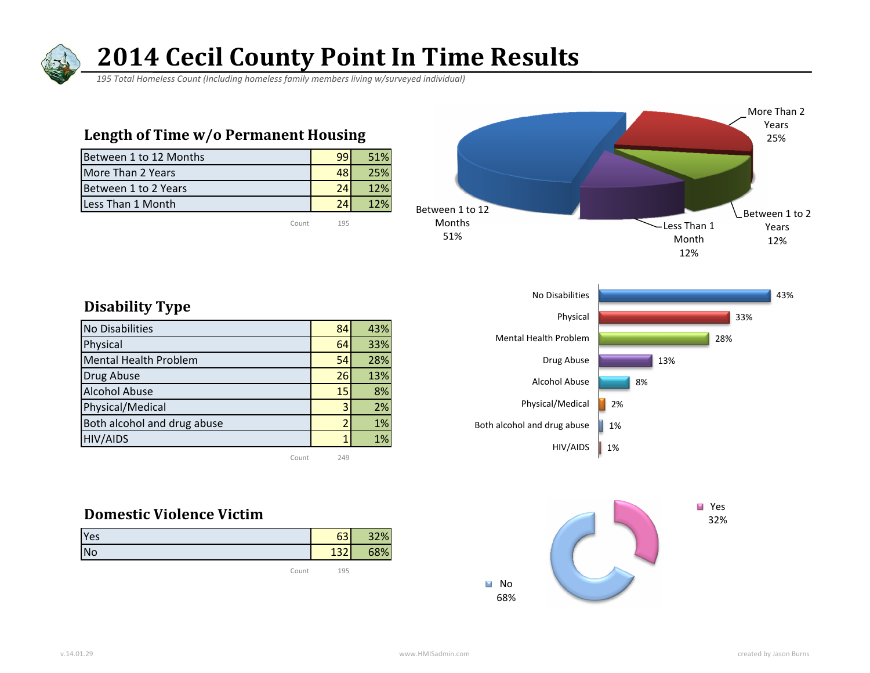

 *195 Total Homeless Count (Including homeless family members living w/surveyed individual)*

#### Length of Time w/o Permanent Housing

| Between 1 to 12 Months |    | 51% |
|------------------------|----|-----|
| More Than 2 Years      |    | 25% |
| Between 1 to 2 Years   | 24 | 12% |
| Less Than 1 Month      |    | 12% |
|                        |    |     |



#### Disability Type

| No Disabilities              | 84 | 43% |
|------------------------------|----|-----|
| Physical                     | 64 | 33% |
| <b>Mental Health Problem</b> | 54 | 28% |
| Drug Abuse                   | 26 | 13% |
| <b>Alcohol Abuse</b>         | 15 | 8%  |
| Physical/Medical             | 3  | 2%  |
| Both alcohol and drug abuse  |    | 1%  |
| <b>HIV/AIDS</b>              |    | 1%  |
|                              |    |     |

Count 249

#### Domestic Violence Victim

| Yes       | $\sim$   | 32% |
|-----------|----------|-----|
| <b>No</b> | 127<br>∠ | 58% |
|           |          |     |



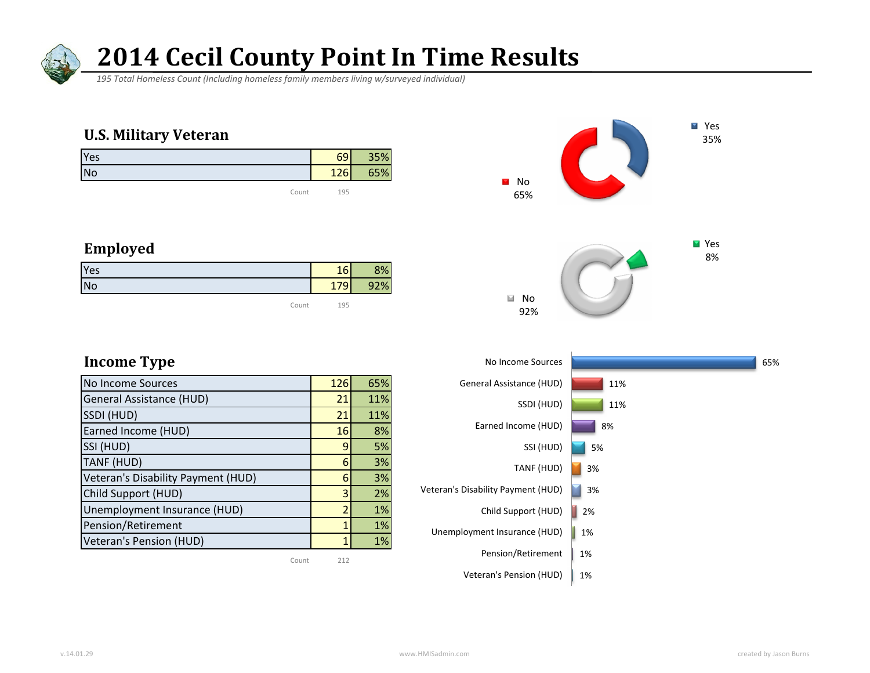

 *195 Total Homeless Count (Including homeless family members living w/surveyed individual)*

#### U.S. Military Veteran

| Yes   | 69  | 35% |
|-------|-----|-----|
| No    | 126 | 65% |
| Count | 195 |     |





### Employed

| Yes       | 16  | 8%  |
|-----------|-----|-----|
| <b>No</b> | 179 | 92% |
| Count     | 195 |     |

| No Income Sources                  | 126 | 65% |
|------------------------------------|-----|-----|
| <b>General Assistance (HUD)</b>    | 21  | 11% |
| SSDI (HUD)                         | 21  | 11% |
| Earned Income (HUD)                | 16  | 8%  |
| SSI (HUD)                          | 9   | 5%  |
| TANF (HUD)                         | 6   | 3%  |
| Veteran's Disability Payment (HUD) | 6   | 3%  |
| Child Support (HUD)                | 3   | 2%  |
| Unemployment Insurance (HUD)       | 7   | 1%  |
| Pension/Retirement                 | 1   | 1%  |
| Veteran's Pension (HUD)            |     | 1%  |